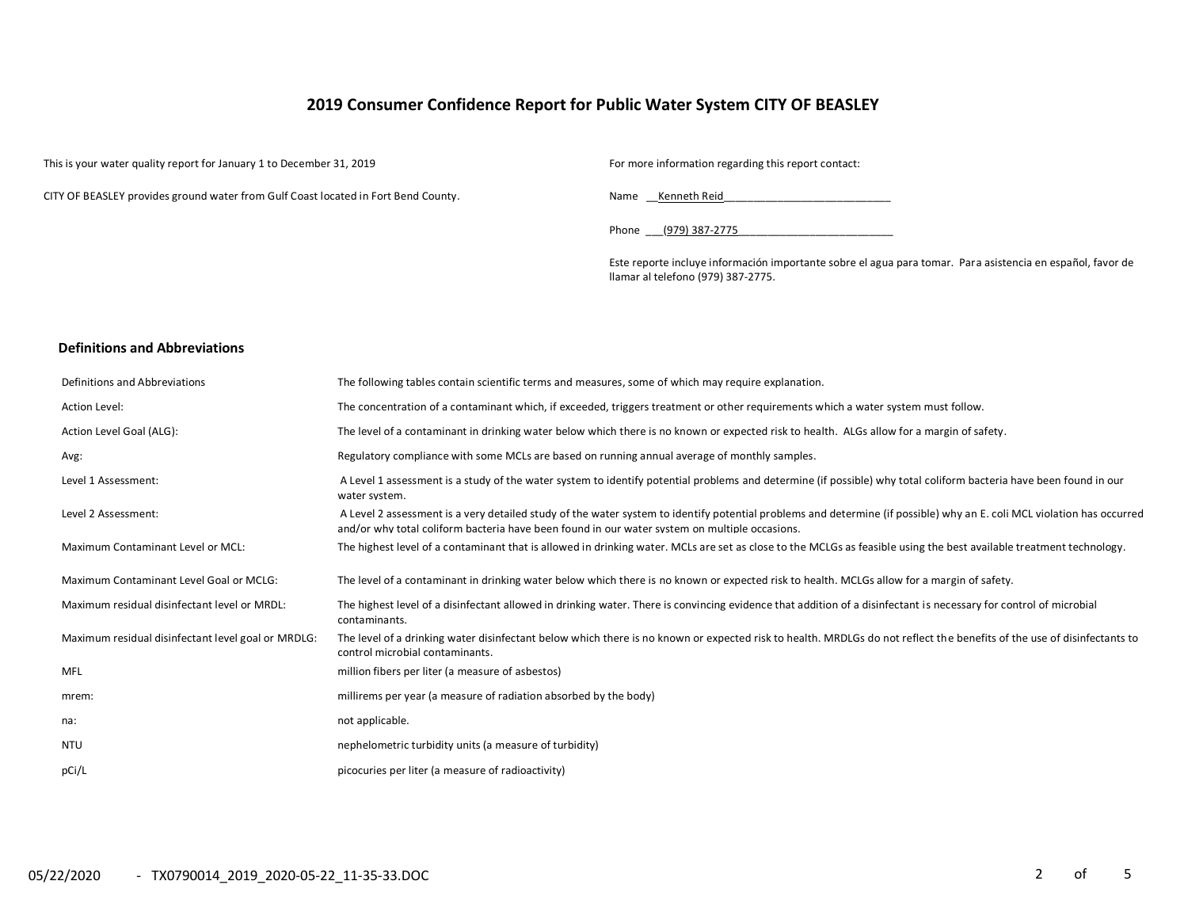# **2019 Consumer Confidence Report for Public Water System CITY OF BEASLEY**

This is your water quality report for January 1 to December 31, 2019 For more information regarding this report contact:

CITY OF BEASLEY provides ground water from Gulf Coast located in Fort Bend County. Name \_\_Kenneth Reid\_\_\_\_\_\_\_\_\_\_\_\_\_\_\_\_\_\_\_\_\_\_\_\_\_\_\_\_

Phone \_\_\_\_(979) 387-2775

Este reporte incluye información importante sobre el agua para tomar. Para asistencia en español, favor de llamar al telefono (979) 387-2775.

### **Definitions and Abbreviations**

| Definitions and Abbreviations                      | The following tables contain scientific terms and measures, some of which may require explanation.                                                                                                                                                                      |
|----------------------------------------------------|-------------------------------------------------------------------------------------------------------------------------------------------------------------------------------------------------------------------------------------------------------------------------|
| Action Level:                                      | The concentration of a contaminant which, if exceeded, triggers treatment or other requirements which a water system must follow.                                                                                                                                       |
| Action Level Goal (ALG):                           | The level of a contaminant in drinking water below which there is no known or expected risk to health. ALGs allow for a margin of safety.                                                                                                                               |
| Avg:                                               | Regulatory compliance with some MCLs are based on running annual average of monthly samples.                                                                                                                                                                            |
| Level 1 Assessment:                                | A Level 1 assessment is a study of the water system to identify potential problems and determine (if possible) why total coliform bacteria have been found in our<br>water system.                                                                                      |
| Level 2 Assessment:                                | A Level 2 assessment is a very detailed study of the water system to identify potential problems and determine (if possible) why an E. coli MCL violation has occurred<br>and/or why total coliform bacteria have been found in our water system on multiple occasions. |
| <b>Maximum Contaminant Level or MCL:</b>           | The highest level of a contaminant that is allowed in drinking water. MCLs are set as close to the MCLGs as feasible using the best available treatment technology.                                                                                                     |
| Maximum Contaminant Level Goal or MCLG:            | The level of a contaminant in drinking water below which there is no known or expected risk to health. MCLGs allow for a margin of safety.                                                                                                                              |
| Maximum residual disinfectant level or MRDL:       | The highest level of a disinfectant allowed in drinking water. There is convincing evidence that addition of a disinfectant is necessary for control of microbial<br>contaminants.                                                                                      |
| Maximum residual disinfectant level goal or MRDLG: | The level of a drinking water disinfectant below which there is no known or expected risk to health. MRDLGs do not reflect the benefits of the use of disinfectants to<br>control microbial contaminants.                                                               |
| <b>MFL</b>                                         | million fibers per liter (a measure of asbestos)                                                                                                                                                                                                                        |
| mrem:                                              | millirems per year (a measure of radiation absorbed by the body)                                                                                                                                                                                                        |
| na:                                                | not applicable.                                                                                                                                                                                                                                                         |
| <b>NTU</b>                                         | nephelometric turbidity units (a measure of turbidity)                                                                                                                                                                                                                  |
| pCi/L                                              | picocuries per liter (a measure of radioactivity)                                                                                                                                                                                                                       |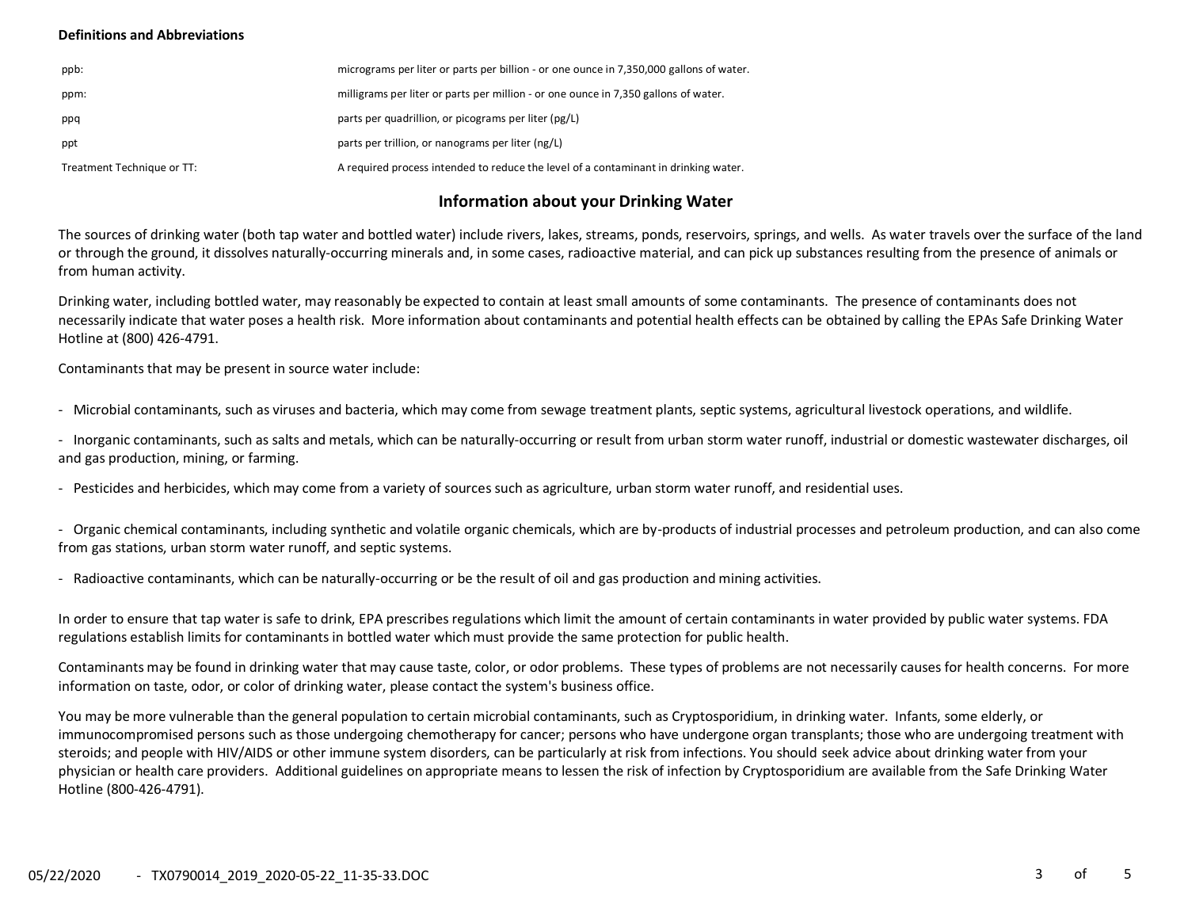### **Definitions and Abbreviations**

| ppb:                       | micrograms per liter or parts per billion - or one ounce in 7,350,000 gallons of water. |
|----------------------------|-----------------------------------------------------------------------------------------|
| ppm:                       | milligrams per liter or parts per million - or one ounce in 7,350 gallons of water.     |
| ppq                        | parts per quadrillion, or picograms per liter (pg/L)                                    |
| ppt                        | parts per trillion, or nanograms per liter (ng/L)                                       |
| Treatment Technique or TT: | A required process intended to reduce the level of a contaminant in drinking water.     |

# **Information about your Drinking Water**

The sources of drinking water (both tap water and bottled water) include rivers, lakes, streams, ponds, reservoirs, springs, and wells. As water travels over the surface of the land or through the ground, it dissolves naturally-occurring minerals and, in some cases, radioactive material, and can pick up substances resulting from the presence of animals or from human activity.

Drinking water, including bottled water, may reasonably be expected to contain at least small amounts of some contaminants. The presence of contaminants does not necessarily indicate that water poses a health risk. More information about contaminants and potential health effects can be obtained by calling the EPAs Safe Drinking Water Hotline at (800) 426-4791.

Contaminants that may be present in source water include:

- Microbial contaminants, such as viruses and bacteria, which may come from sewage treatment plants, septic systems, agricultural livestock operations, and wildlife.

- Inorganic contaminants, such as salts and metals, which can be naturally-occurring or result from urban storm water runoff, industrial or domestic wastewater discharges, oil and gas production, mining, or farming.

- Pesticides and herbicides, which may come from a variety of sources such as agriculture, urban storm water runoff, and residential uses.

- Organic chemical contaminants, including synthetic and volatile organic chemicals, which are by-products of industrial processes and petroleum production, and can also come from gas stations, urban storm water runoff, and septic systems.

- Radioactive contaminants, which can be naturally-occurring or be the result of oil and gas production and mining activities.

In order to ensure that tap water is safe to drink, EPA prescribes regulations which limit the amount of certain contaminants in water provided by public water systems. FDA regulations establish limits for contaminants in bottled water which must provide the same protection for public health.

Contaminants may be found in drinking water that may cause taste, color, or odor problems. These types of problems are not necessarily causes for health concerns. For more information on taste, odor, or color of drinking water, please contact the system's business office.

You may be more vulnerable than the general population to certain microbial contaminants, such as Cryptosporidium, in drinking water. Infants, some elderly, or immunocompromised persons such as those undergoing chemotherapy for cancer; persons who have undergone organ transplants; those who are undergoing treatment with steroids; and people with HIV/AIDS or other immune system disorders, can be particularly at risk from infections. You should seek advice about drinking water from your physician or health care providers. Additional guidelines on appropriate means to lessen the risk of infection by Cryptosporidium are available from the Safe Drinking Water Hotline (800-426-4791).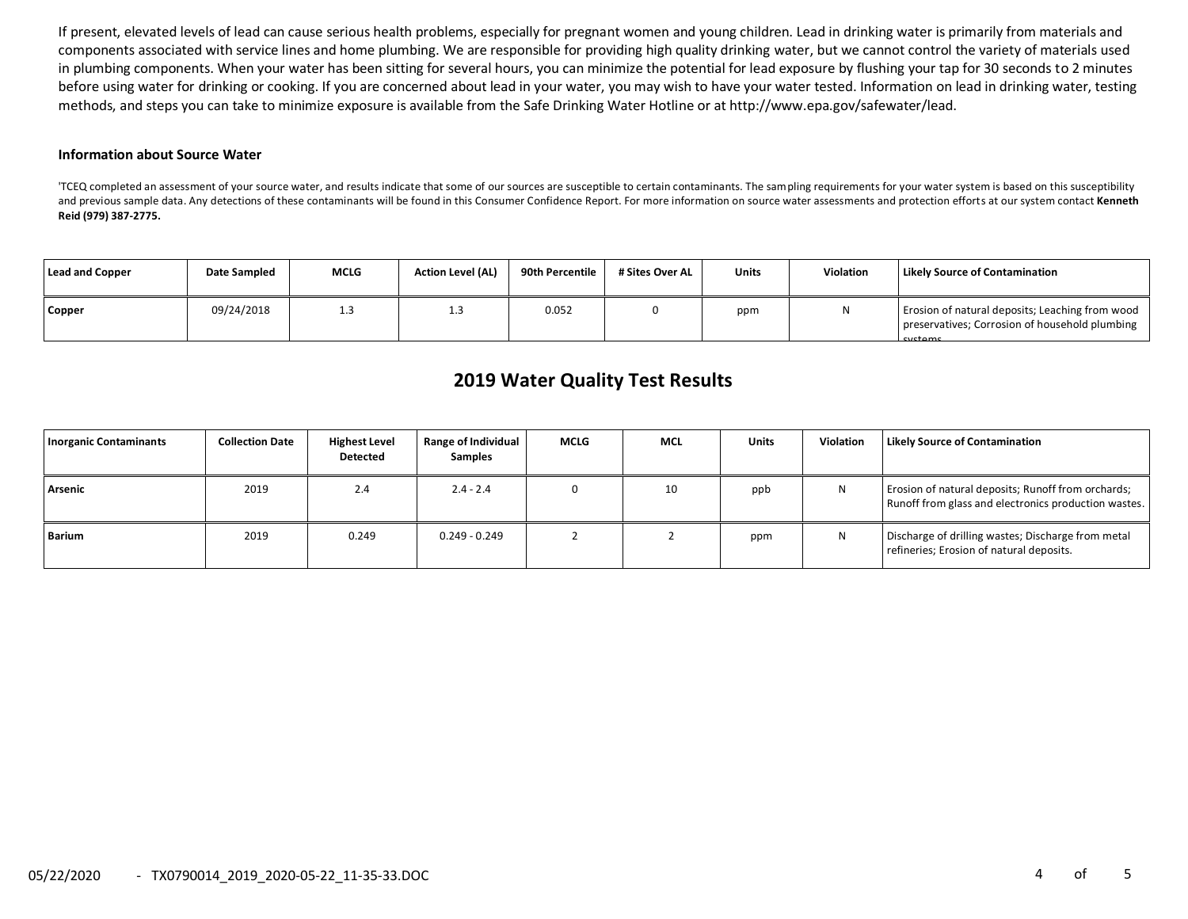If present, elevated levels of lead can cause serious health problems, especially for pregnant women and young children. Lead in drinking water is primarily from materials and components associated with service lines and home plumbing. We are responsible for providing high quality drinking water, but we cannot control the variety of materials used in plumbing components. When your water has been sitting for several hours, you can minimize the potential for lead exposure by flushing your tap for 30 seconds to 2 minutes before using water for drinking or cooking. If you are concerned about lead in your water, you may wish to have your water tested. Information on lead in drinking water, testing methods, and steps you can take to minimize exposure is available from the Safe Drinking Water Hotline or at http://www.epa.gov/safewater/lead.

#### **Information about Source Water**

'TCEQ completed an assessment of your source water, and results indicate that some of our sources are susceptible to certain contaminants. The sampling requirements for your water system is based on this susceptibility and previous sample data. Any detections of these contaminants will be found in this Consumer Confidence Report. For more information on source water assessments and protection efforts at our system contact **Kenneth Reid (979) 387-2775.**

| Lead and Copper | Date Sampled | <b>MCLG</b> | <b>Action Level (AL)</b> | 90th Percentile | # Sites Over AL | <b>Units</b> | <b>Violation</b> | <b>Likely Source of Contamination</b>                                                                        |
|-----------------|--------------|-------------|--------------------------|-----------------|-----------------|--------------|------------------|--------------------------------------------------------------------------------------------------------------|
| Copper          | 09/24/2018   | 1.3         | 1.3                      | 0.052           |                 | ppm          | N                | Erosion of natural deposits; Leaching from wood<br>preservatives; Corrosion of household plumbing<br>cyctome |

# **2019 Water Quality Test Results**

| <b>Inorganic Contaminants</b> | <b>Collection Date</b> | <b>Highest Level</b><br><b>Detected</b> | <b>Range of Individual</b><br><b>Samples</b> | MCLG | <b>MCL</b> | <b>Units</b> | <b>Violation</b> | <b>Likely Source of Contamination</b>                                                                      |
|-------------------------------|------------------------|-----------------------------------------|----------------------------------------------|------|------------|--------------|------------------|------------------------------------------------------------------------------------------------------------|
| Arsenic                       | 2019                   | 2.4                                     | $2.4 - 2.4$                                  |      | 10         | ppb          | N                | Erosion of natural deposits; Runoff from orchards;<br>Runoff from glass and electronics production wastes. |
| Barium                        | 2019                   | 0.249                                   | $0.249 - 0.249$                              |      |            | ppm          | N                | Discharge of drilling wastes; Discharge from metal<br>refineries; Erosion of natural deposits.             |